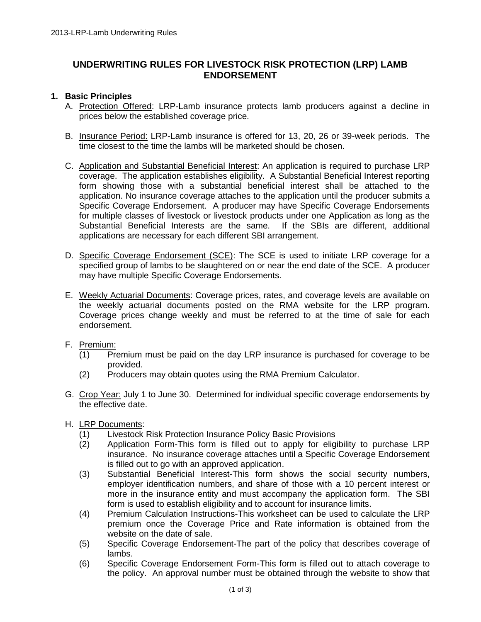# **UNDERWRITING RULES FOR LIVESTOCK RISK PROTECTION (LRP) LAMB ENDORSEMENT**

## **1. Basic Principles**

- A. Protection Offered: LRP-Lamb insurance protects lamb producers against a decline in prices below the established coverage price.
- B. Insurance Period: LRP-Lamb insurance is offered for 13, 20, 26 or 39-week periods. The time closest to the time the lambs will be marketed should be chosen.
- C. Application and Substantial Beneficial Interest: An application is required to purchase LRP coverage. The application establishes eligibility. A Substantial Beneficial Interest reporting form showing those with a substantial beneficial interest shall be attached to the application. No insurance coverage attaches to the application until the producer submits a Specific Coverage Endorsement. A producer may have Specific Coverage Endorsements for multiple classes of livestock or livestock products under one Application as long as the Substantial Beneficial Interests are the same. If the SBIs are different, additional applications are necessary for each different SBI arrangement.
- D. Specific Coverage Endorsement (SCE): The SCE is used to initiate LRP coverage for a specified group of lambs to be slaughtered on or near the end date of the SCE. A producer may have multiple Specific Coverage Endorsements.
- E. Weekly Actuarial Documents: Coverage prices, rates, and coverage levels are available on the weekly actuarial documents posted on the RMA website for the LRP program. Coverage prices change weekly and must be referred to at the time of sale for each endorsement.
- F. Premium:
	- (1) Premium must be paid on the day LRP insurance is purchased for coverage to be provided.
	- (2) Producers may obtain quotes using the RMA Premium Calculator.
- G. Crop Year: July 1 to June 30. Determined for individual specific coverage endorsements by the effective date.
- H. LRP Documents:
	- (1) Livestock Risk Protection Insurance Policy Basic Provisions
	- (2) Application Form-This form is filled out to apply for eligibility to purchase LRP insurance. No insurance coverage attaches until a Specific Coverage Endorsement is filled out to go with an approved application.
	- (3) Substantial Beneficial Interest-This form shows the social security numbers, employer identification numbers, and share of those with a 10 percent interest or more in the insurance entity and must accompany the application form. The SBI form is used to establish eligibility and to account for insurance limits.
	- (4) Premium Calculation Instructions-This worksheet can be used to calculate the LRP premium once the Coverage Price and Rate information is obtained from the website on the date of sale.
	- (5) Specific Coverage Endorsement-The part of the policy that describes coverage of lambs.
	- (6) Specific Coverage Endorsement Form-This form is filled out to attach coverage to the policy. An approval number must be obtained through the website to show that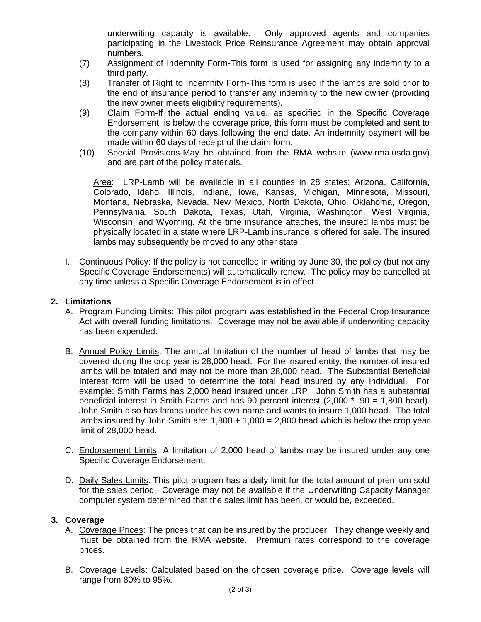underwriting capacity is available. Only approved agents and companies participating in the Livestock Price Reinsurance Agreement may obtain approval numbers.

- (7) Assignment of Indemnity Form-This form is used for assigning any indemnity to a third party.
- (8) Transfer of Right to Indemnity Form-This form is used if the lambs are sold prior to the end of insurance period to transfer any indemnity to the new owner (providing the new owner meets eligibility requirements).
- (9) Claim Form-If the actual ending value, as specified in the Specific Coverage Endorsement, is below the coverage price, this form must be completed and sent to the company within 60 days following the end date. An indemnity payment will be made within 60 days of receipt of the claim form.
- (10) Special Provisions-May be obtained from the RMA website (www.rma.usda.gov) and are part of the policy materials.

Area: LRP-Lamb will be available in all counties in 28 states: Arizona, California, Colorado, Idaho, Illinois, Indiana, Iowa, Kansas, Michigan, Minnesota, Missouri, Montana, Nebraska, Nevada, New Mexico, North Dakota, Ohio, Oklahoma, Oregon, Pennsylvania, South Dakota, Texas, Utah, Virginia, Washington, West Virginia, Wisconsin, and Wyoming. At the time insurance attaches, the insured lambs must be physically located in a state where LRP-Lamb insurance is offered for sale. The insured lambs may subsequently be moved to any other state.

I. Continuous Policy: If the policy is not cancelled in writing by June 30, the policy (but not any Specific Coverage Endorsements) will automatically renew. The policy may be cancelled at any time unless a Specific Coverage Endorsement is in effect.

### **2. Limitations**

- A. Program Funding Limits: This pilot program was established in the Federal Crop Insurance Act with overall funding limitations. Coverage may not be available if underwriting capacity has been expended.
- B. Annual Policy Limits: The annual limitation of the number of head of lambs that may be covered during the crop year is 28,000 head. For the insured entity, the number of insured lambs will be totaled and may not be more than 28,000 head. The Substantial Beneficial Interest form will be used to determine the total head insured by any individual. For example: Smith Farms has 2,000 head insured under LRP. John Smith has a substantial beneficial interest in Smith Farms and has 90 percent interest (2,000 \* .90 = 1,800 head). John Smith also has lambs under his own name and wants to insure 1,000 head. The total lambs insured by John Smith are:  $1,800 + 1,000 = 2,800$  head which is below the crop year limit of 28,000 head.
- C. Endorsement Limits: A limitation of 2,000 head of lambs may be insured under any one Specific Coverage Endorsement.
- D. Daily Sales Limits: This pilot program has a daily limit for the total amount of premium sold for the sales period. Coverage may not be available if the Underwriting Capacity Manager computer system determined that the sales limit has been, or would be, exceeded.

#### **3. Coverage**

- A. Coverage Prices: The prices that can be insured by the producer. They change weekly and must be obtained from the RMA website. Premium rates correspond to the coverage prices.
- B. Coverage Levels: Calculated based on the chosen coverage price. Coverage levels will range from 80% to 95%.